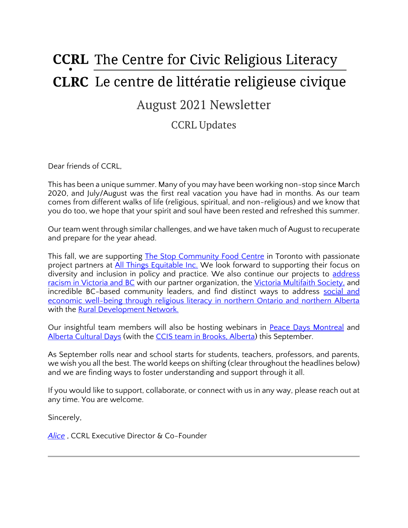# **CCRL** The Centre for Civic Religious Literacy **CLRC** Le centre de littératie religieuse civique

# August 2021 Newsletter

# CCRL Updates

Dear friends of CCRL,

This has been a unique summer. Many of you may have been working non-stop since March 2020, and July/August was the first real vacation you have had in months. As our team comes from different walks of life (religious, spiritual, and non-religious) and we know that you do too, we hope that your spirit and soul have been rested and refreshed this summer.

Our team went through similar challenges, and we have taken much of August to recuperate and prepare for the year ahead.

This fall, we are supporting **The Stop Community Food Centre** in Toronto with passionate project partners at [All Things Equitable Inc.](https://www.allthingsequitable.ca/dei-consulting) We look forward to supporting their focus on diversity and inclusion in policy and practice. We also continue our projects to address [racism in Victoria and BC](https://ccrl-clrc.ca/work/projects/discussing-racism/) with our partner organization, the [Victoria Multifaith Society,](https://victoriamultifaith.com/) and incredible BC-based community leaders, and find distinct ways to address social and [economic well-being through religious literacy in northern Ontario and northern Alberta](https://ccrl-clrc.ca/work/projects/rural-social-economic-well-being/) with the **Rural Development Network.** 

Our insightful team members will also be hosting webinars in [Peace Days Montreal](https://thepeacedays.com/events/workshop-anti-religious-racism-tools-to-better-understanding/) and [Alberta Cultural Days](https://culturedays.ca/en/ab) (with the [CCIS team in Brooks, Alberta\)](https://www.ccisab.ca/about/ccis-divisions/bcis.html) this September.

As September rolls near and school starts for students, teachers, professors, and parents, we wish you all the best. The world keeps on shifting (clear throughout the headlines below) and we are finding ways to foster understanding and support through it all.

If you would like to support, collaborate, or connect with us in any way, please reach out at any time. You are welcome.

Sincerely,

*[Alice](https://ccrl-clrc.ca/alice-chan/)* , CCRL Executive Director & Co-Founder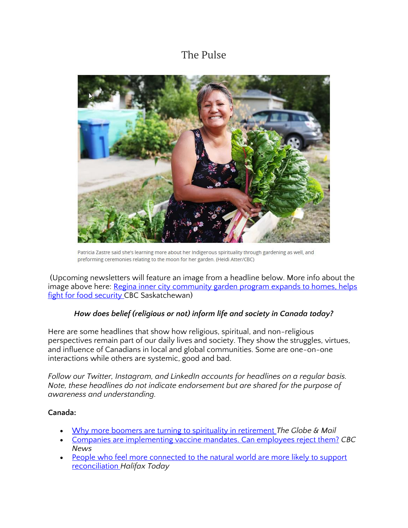# The Pulse



Patricia Zastre said she's learning more about her Indigenous spirituality through gardening as well, and preforming ceremonies relating to the moon for her garden. (Heidi Atter/CBC)

(Upcoming newsletters will feature an image from a headline below. More info about the image above here: [Regina inner city community garden program expands to homes, helps](https://www.cbc.ca/news/canada/saskatchewan/community-garden-program-expansion-1.6133554)  [fight for food security C](https://www.cbc.ca/news/canada/saskatchewan/community-garden-program-expansion-1.6133554)BC Saskatchewan)

### *How does belief (religious or not) inform life and society in Canada today?*

Here are some headlines that show how religious, spiritual, and non-religious perspectives remain part of our daily lives and society. They show the struggles, virtues, and influence of Canadians in local and global communities. Some are one-on-one interactions while others are systemic, good and bad.

*Follow our Twitter, Instagram, and LinkedIn accounts for headlines on a regular basis. Note, these headlines do not indicate endorsement but are shared for the purpose of awareness and understanding.* 

### **Canada:**

- [Why more boomers are turning to spirituality in retirement](https://www.theglobeandmail.com/life/article-why-more-boomers-are-turning-to-spirituality-in-retirement/) *The Globe & Mail*
- [Companies are implementing vaccine mandates. Can employees reject them?](https://www.cbc.ca/news/canada/vaccination-mandates-employees-rights-1.6142584) *CBC News*
- People who feel more connected to the natural world are more likely to support [reconciliation](https://www.halifaxtoday.ca/local-news/people-who-feel-more-connected-to-the-natural-world-are-more-likely-to-support-reconciliation-4240929) *Halifax Today*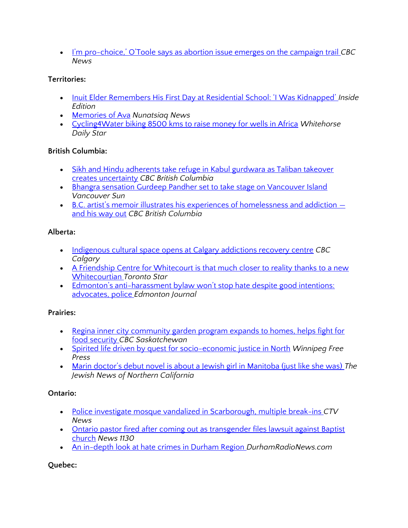• I'm pro-[choice,' O'Toole says as abortion issue emerges on the campaign trail](https://www.cbc.ca/news/politics/erin-otoole-pro-choice-conscience-rights-1.6146200) *CBC News*

## **Territories:**

- [Inuit Elder Remembers His First Day at Residential School: 'I Was Kidnapped'](https://www.insideedition.com/inuit-elder-remembers-his-first-day-at-residential-school-i-was-kidnapped-68723) *Inside Edition*
- [Memories of Ava](https://nunatsiaq.com/stories/article/memories-of-ava/) *Nunatsiaq News*
- [Cycling4Water biking 8500 kms to raise money for wells in Africa](https://www.whitehorsestar.com/Sports/cycling4water-biking-8500-kms-to-raise-money-for-wells-in-africa) *Whitehorse Daily Star*

## **British Columbia:**

- [Sikh and Hindu adherents take refuge in Kabul gurdwara as Taliban takeover](https://www.cbc.ca/news/canada/british-columbia/sikh-hindu-afghanistan-1.6146613)  [creates uncertainty](https://www.cbc.ca/news/canada/british-columbia/sikh-hindu-afghanistan-1.6146613) *CBC British Columbia*
- Bhangra sensation Gurdeep Pandher set to take stage on Vancouver Island *Vancouver Sun*
- B.C. artist's memoir illustrates his experiences of homelessness and addiction [and his way out](https://www.cbc.ca/news/canada/british-columbia/homelessness-addiction-graphic-memoir-1.6117448) *CBC British Columbia*

# **Alberta:**

- [Indigenous cultural space opens at Calgary addictions recovery centre](https://www.cbc.ca/news/canada/calgary/simon-house-calgary-indigenous-1.6147791) *CBC Calgary*
- A Friendship Centre for Whitecourt is that much closer to reality thanks to a new [Whitecourtian](https://www.thestar.com/news/canada/2021/08/22/a-friendship-centre-for-whitecourt-is-that-much-closer-to-reality-thanks-to-a-new-whitecourtian.html) *Toronto Star*
- Edmonton's anti-harassment bylaw won't stop hate despite good intentions: [advocates, police](https://edmontonjournal.com/news/local-news/edmontons-anti-harassment-bylaw-wont-stop-hate-despite-good-intentions-advocates-police) *Edmonton Journal*

# **Prairies:**

- Regina inner city [community garden program expands to homes, helps fight for](https://www.cbc.ca/news/canada/saskatchewan/community-garden-program-expansion-1.6133554)  [food security](https://www.cbc.ca/news/canada/saskatchewan/community-garden-program-expansion-1.6133554) *CBC Saskatchewan*
- [Spirited life driven by quest for socio-economic justice in North](https://www.winnipegfreepress.com/local/faith-and-determination-575047682.html) *Winnipeg Free Press*
- [Marin doctor's debut novel is about a Jewish girl in Manitoba \(just like she was\)](https://www.jweekly.com/2021/08/23/marin-doctors-debut-novel-is-about-a-jewish-girl-in-manitoba-just-like-she-was/) *The Jewish News of Northern California*

# **Ontario:**

- [Police investigate mosque vandalized in Scarborough, multiple break-ins](https://toronto.ctvnews.ca/mobile/police-investigate-mosque-vandalized-in-scarborough-multiple-break-ins-1.5557091) *CTV News*
- Ontario pastor fired after coming out as transgender files lawsuit against Baptist [church](https://www.citynews1130.com/2021/08/11/pastor-fired-transgender-lorne-park-baptist-church/) *News 1130*
- [An in-depth look at hate crimes in Durham Region](https://www.durhamradionews.com/archives/143821) *DurhamRadioNews.com*

# **Quebec:**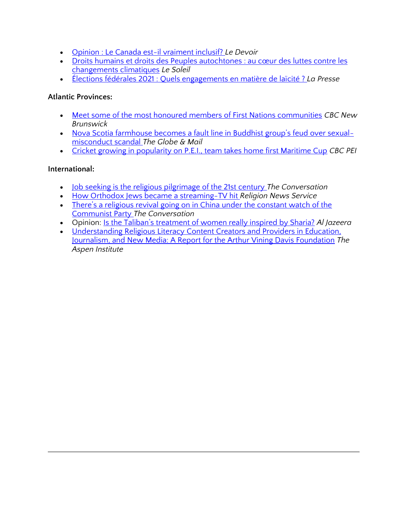- [Opinion : Le Canada est-il vraiment inclusif?](https://www.ledevoir.com/opinion/idees/621783/diversite-le-canada-est-il-vraiment-inclusif) *Le Devoir*
- [Droits humains et droits des Peuples autochtones : au cœu](https://www.lesoleil.com/opinions/point-de-vue/droits-humains-et-droits-des-peuples-autochtones--au-cur-des-luttes-contre-les-changements-climatiques-8e578da3b3932336f375119002e34ccd)r des luttes contre les [changements climatiques](https://www.lesoleil.com/opinions/point-de-vue/droits-humains-et-droits-des-peuples-autochtones--au-cur-des-luttes-contre-les-changements-climatiques-8e578da3b3932336f375119002e34ccd) *Le Soleil*
- [Élections fédérales 2021 : Quels engagements en matière de laïcité ?](https://www.lapresse.ca/debats/opinions/2021-08-24/elections-federales-2021/quels-engagements-en-matiere-de-laicite.php) *La Presse*

#### **Atlantic Provinces:**

- [Meet some of the most honoured members of First Nations communities](https://www.cbc.ca/news/canada/new-brunswick/community/meet-some-of-the-most-honoured-members-of-first-nations-communities-1.6146382) *CBC New Brunswick*
- [Nova Scotia farmhouse becomes a fault line in Buddhist group's feud over sexual](https://www.theglobeandmail.com/canada/article-nova-scotia-farmhouse-becomes-a-fault-line-in-buddhist-groups-feud/)[misconduct scandal](https://www.theglobeandmail.com/canada/article-nova-scotia-farmhouse-becomes-a-fault-line-in-buddhist-groups-feud/) *The Globe & Mail*
- [Cricket growing in popularity on P.E.I., team takes home first Maritime Cup](https://www.cbc.ca/news/canada/prince-edward-island/pei-cricket-growing-champions-july-2021-1.6116824) *CBC PEI*

#### **International:**

- [Job seeking is the religious pilgrimage of the 21st century](https://theconversation.com/job-seeking-is-the-religious-pilgrimage-of-the-21st-century-166227) *The Conversation*
- [How Orthodox Jews became a streaming-TV hit](https://religionnews.com/2021/08/20/how-orthodox-jews-became-a-streaming-tv-hit/) *Religion News Service*
- [There's a religious revival going on in China un](https://theconversation.com/theres-a-religious-revival-going-on-in-china-under-the-constant-watch-of-the-communist-party-164211)der the constant watch of the [Communist Party](https://theconversation.com/theres-a-religious-revival-going-on-in-china-under-the-constant-watch-of-the-communist-party-164211) *The Conversation*
- Opinion: [Is the Taliban's treatment of women really inspired by Sharia?](https://www.aljazeera.com/opinions/2021/8/22/is-the-talibans-treatment-of-women-really-inspired-by-sharia) *Al Jazeera*
- [Understanding Religious Literacy Content Creators and Providers in Education,](https://www.aspeninstitute.org/publications/understanding-religious-literacy-content-creators-and-providers-in-education-journalism-and-new-media-a-report-for-the-arthur-vining-davis-foundation/)  [Journalism, and New Media: A Report for the Arthur Vining Davis Foundation](https://www.aspeninstitute.org/publications/understanding-religious-literacy-content-creators-and-providers-in-education-journalism-and-new-media-a-report-for-the-arthur-vining-davis-foundation/) *The Aspen Institute*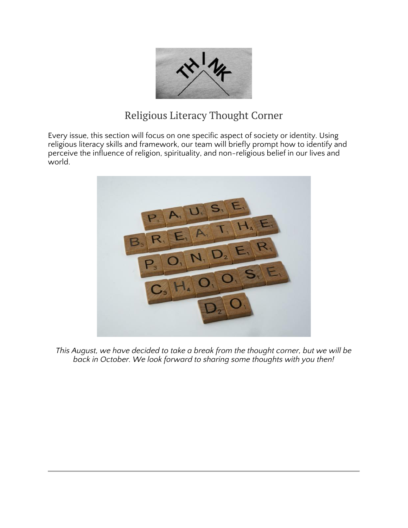

# Religious Literacy Thought Corner

Every issue, this section will focus on one specific aspect of society or identity. Using religious literacy skills and framework, our team will briefly prompt how to identify and perceive the influence of religion, spirituality, and non-religious belief in our lives and world.



*This August, we have decided to take a break from the thought corner, but we will be back in October. We look forward to sharing some thoughts with you then!*